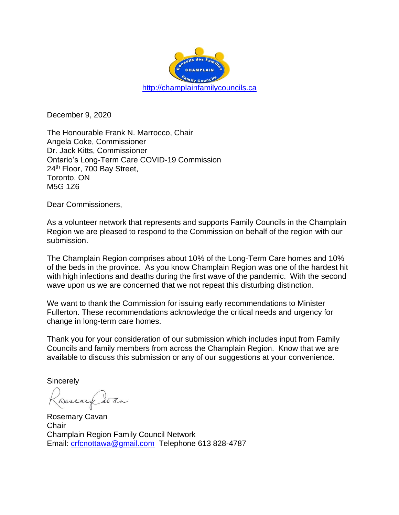

December 9, 2020

The Honourable Frank N. Marrocco, Chair Angela Coke, Commissioner Dr. Jack Kitts, Commissioner Ontario's Long-Term Care COVID-19 Commission 24<sup>th</sup> Floor, 700 Bay Street, Toronto, ON M5G 1Z6

Dear Commissioners,

As a volunteer network that represents and supports Family Councils in the Champlain Region we are pleased to respond to the Commission on behalf of the region with our submission.

The Champlain Region comprises about 10% of the Long-Term Care homes and 10% of the beds in the province. As you know Champlain Region was one of the hardest hit with high infections and deaths during the first wave of the pandemic. With the second wave upon us we are concerned that we not repeat this disturbing distinction.

We want to thank the Commission for issuing early recommendations to Minister Fullerton. These recommendations acknowledge the critical needs and urgency for change in long-term care homes.

Thank you for your consideration of our submission which includes input from Family Councils and family members from across the Champlain Region. Know that we are available to discuss this submission or any of our suggestions at your convenience.

**Sincerely** 

Derlay

Rosemary Cavan **Chair** Champlain Region Family Council Network Email: [crfcnottawa@gmail.com](mailto:crfcnottawa@gmail.com) Telephone 613 828-4787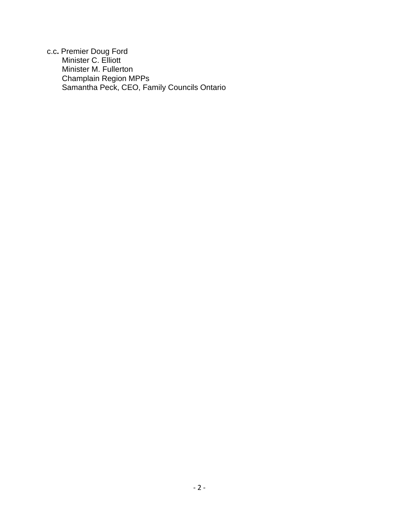c.c**.** Premier Doug Ford Minister C. Elliott Minister M. Fullerton Champlain Region MPPs Samantha Peck, CEO, Family Councils Ontario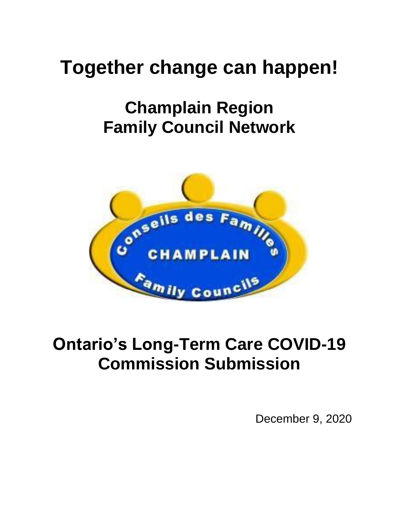# **Together change can happen!**

## **Champlain Region Family Council Network**



## **Ontario's Long-Term Care COVID-19 Commission Submission**

December 9, 2020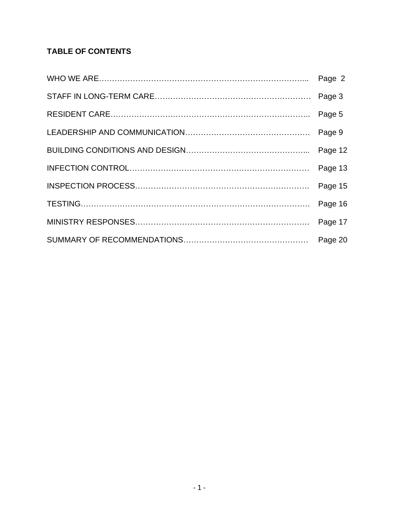## **TABLE OF CONTENTS**

| Page 5  |
|---------|
| Page 9  |
| Page 12 |
|         |
| Page 15 |
|         |
|         |
|         |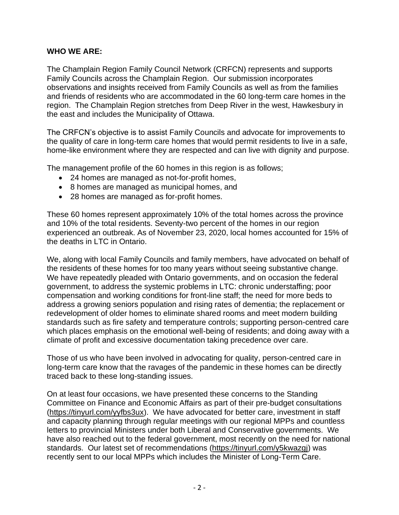#### **WHO WE ARE:**

The Champlain Region Family Council Network (CRFCN) represents and supports Family Councils across the Champlain Region. Our submission incorporates observations and insights received from Family Councils as well as from the families and friends of residents who are accommodated in the 60 long-term care homes in the region. The Champlain Region stretches from Deep River in the west, Hawkesbury in the east and includes the Municipality of Ottawa.

The CRFCN's objective is to assist Family Councils and advocate for improvements to the quality of care in long-term care homes that would permit residents to live in a safe, home-like environment where they are respected and can live with dignity and purpose.

The management profile of the 60 homes in this region is as follows;

- 24 homes are managed as not-for-profit homes,
- 8 homes are managed as municipal homes, and
- 28 homes are managed as for-profit homes.

These 60 homes represent approximately 10% of the total homes across the province and 10% of the total residents. Seventy-two percent of the homes in our region experienced an outbreak. As of November 23, 2020, local homes accounted for 15% of the deaths in LTC in Ontario.

We, along with local Family Councils and family members, have advocated on behalf of the residents of these homes for too many years without seeing substantive change. We have repeatedly pleaded with Ontario governments, and on occasion the federal government, to address the systemic problems in LTC: chronic understaffing; poor compensation and working conditions for front-line staff; the need for more beds to address a growing seniors population and rising rates of dementia; the replacement or redevelopment of older homes to eliminate shared rooms and meet modern building standards such as fire safety and temperature controls; supporting person-centred care which places emphasis on the emotional well-being of residents; and doing away with a climate of profit and excessive documentation taking precedence over care.

Those of us who have been involved in advocating for quality, person-centred care in long-term care know that the ravages of the pandemic in these homes can be directly traced back to these long-standing issues.

On at least four occasions, we have presented these concerns to the Standing Committee on Finance and Economic Affairs as part of their pre-budget consultations [\(https://tinyurl.com/yyfbs3ux\)](https://tinyurl.com/yyfbs3ux). We have advocated for better care, investment in staff and capacity planning through regular meetings with our regional MPPs and countless letters to provincial Ministers under both Liberal and Conservative governments. We have also reached out to the federal government, most recently on the need for national standards. Our latest set of recommendations [\(https://tinyurl.com/y5kwazgj\)](https://tinyurl.com/y5kwazgj) was recently sent to our local MPPs which includes the Minister of Long-Term Care.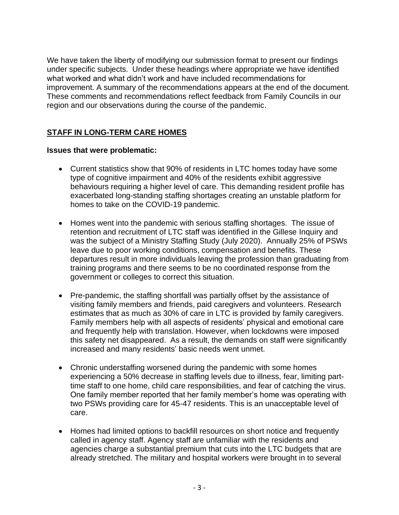We have taken the liberty of modifying our submission format to present our findings under specific subjects. Under these headings where appropriate we have identified what worked and what didn't work and have included recommendations for improvement. A summary of the recommendations appears at the end of the document. These comments and recommendations reflect feedback from Family Councils in our region and our observations during the course of the pandemic.

## **STAFF IN LONG-TERM CARE HOMES**

#### **Issues that were problematic:**

- Current statistics show that 90% of residents in LTC homes today have some type of cognitive impairment and 40% of the residents exhibit aggressive behaviours requiring a higher level of care. This demanding resident profile has exacerbated long-standing staffing shortages creating an unstable platform for homes to take on the COVID-19 pandemic.
- Homes went into the pandemic with serious staffing shortages. The issue of retention and recruitment of LTC staff was identified in the Gillese Inquiry and was the subject of a Ministry Staffing Study (July 2020). Annually 25% of PSWs leave due to poor working conditions, compensation and benefits. These departures result in more individuals leaving the profession than graduating from training programs and there seems to be no coordinated response from the government or colleges to correct this situation.
- Pre-pandemic, the staffing shortfall was partially offset by the assistance of visiting family members and friends, paid caregivers and volunteers. Research estimates that as much as 30% of care in LTC is provided by family caregivers. Family members help with all aspects of residents' physical and emotional care and frequently help with translation. However, when lockdowns were imposed this safety net disappeared. As a result, the demands on staff were significantly increased and many residents' basic needs went unmet.
- Chronic understaffing worsened during the pandemic with some homes experiencing a 50% decrease in staffing levels due to illness, fear, limiting parttime staff to one home, child care responsibilities, and fear of catching the virus. One family member reported that her family member's home was operating with two PSWs providing care for 45-47 residents. This is an unacceptable level of care.
- Homes had limited options to backfill resources on short notice and frequently called in agency staff. Agency staff are unfamiliar with the residents and agencies charge a substantial premium that cuts into the LTC budgets that are already stretched. The military and hospital workers were brought in to several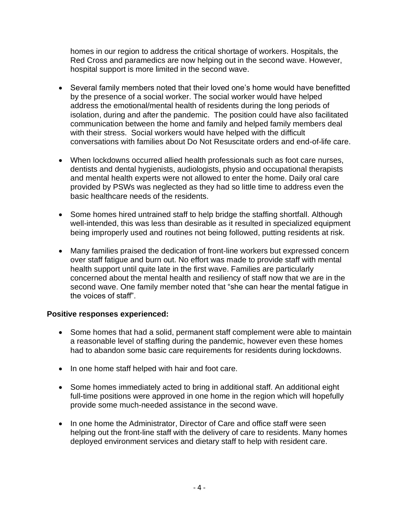homes in our region to address the critical shortage of workers. Hospitals, the Red Cross and paramedics are now helping out in the second wave. However, hospital support is more limited in the second wave.

- Several family members noted that their loved one's home would have benefitted by the presence of a social worker. The social worker would have helped address the emotional/mental health of residents during the long periods of isolation, during and after the pandemic. The position could have also facilitated communication between the home and family and helped family members deal with their stress. Social workers would have helped with the difficult conversations with families about Do Not Resuscitate orders and end-of-life care.
- When lockdowns occurred allied health professionals such as foot care nurses, dentists and dental hygienists, audiologists, physio and occupational therapists and mental health experts were not allowed to enter the home. Daily oral care provided by PSWs was neglected as they had so little time to address even the basic healthcare needs of the residents.
- Some homes hired untrained staff to help bridge the staffing shortfall. Although well-intended, this was less than desirable as it resulted in specialized equipment being improperly used and routines not being followed, putting residents at risk.
- Many families praised the dedication of front-line workers but expressed concern over staff fatigue and burn out. No effort was made to provide staff with mental health support until quite late in the first wave. Families are particularly concerned about the mental health and resiliency of staff now that we are in the second wave. One family member noted that "she can hear the mental fatigue in the voices of staff".

#### **Positive responses experienced:**

- Some homes that had a solid, permanent staff complement were able to maintain a reasonable level of staffing during the pandemic, however even these homes had to abandon some basic care requirements for residents during lockdowns.
- In one home staff helped with hair and foot care.
- Some homes immediately acted to bring in additional staff. An additional eight full-time positions were approved in one home in the region which will hopefully provide some much-needed assistance in the second wave.
- In one home the Administrator, Director of Care and office staff were seen helping out the front-line staff with the delivery of care to residents. Many homes deployed environment services and dietary staff to help with resident care.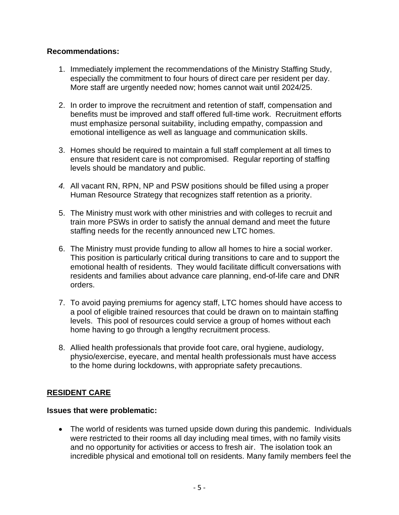#### **Recommendations:**

- 1. Immediately implement the recommendations of the Ministry Staffing Study, especially the commitment to four hours of direct care per resident per day. More staff are urgently needed now; homes cannot wait until 2024/25.
- 2. In order to improve the recruitment and retention of staff, compensation and benefits must be improved and staff offered full-time work. Recruitment efforts must emphasize personal suitability, including empathy, compassion and emotional intelligence as well as language and communication skills.
- 3. Homes should be required to maintain a full staff complement at all times to ensure that resident care is not compromised. Regular reporting of staffing levels should be mandatory and public.
- *4.* All vacant RN, RPN, NP and PSW positions should be filled using a proper Human Resource Strategy that recognizes staff retention as a priority.
- 5. The Ministry must work with other ministries and with colleges to recruit and train more PSWs in order to satisfy the annual demand and meet the future staffing needs for the recently announced new LTC homes.
- 6. The Ministry must provide funding to allow all homes to hire a social worker. This position is particularly critical during transitions to care and to support the emotional health of residents. They would facilitate difficult conversations with residents and families about advance care planning, end-of-life care and DNR orders.
- 7. To avoid paying premiums for agency staff, LTC homes should have access to a pool of eligible trained resources that could be drawn on to maintain staffing levels. This pool of resources could service a group of homes without each home having to go through a lengthy recruitment process.
- 8. Allied health professionals that provide foot care, oral hygiene, audiology, physio/exercise, eyecare, and mental health professionals must have access to the home during lockdowns, with appropriate safety precautions.

## **RESIDENT CARE**

#### **Issues that were problematic:**

• The world of residents was turned upside down during this pandemic. Individuals were restricted to their rooms all day including meal times, with no family visits and no opportunity for activities or access to fresh air. The isolation took an incredible physical and emotional toll on residents. Many family members feel the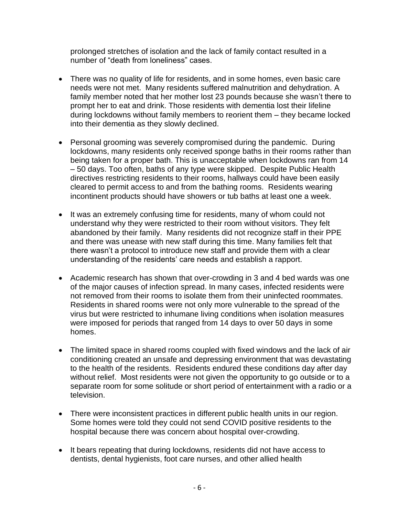prolonged stretches of isolation and the lack of family contact resulted in a number of "death from loneliness" cases.

- There was no quality of life for residents, and in some homes, even basic care needs were not met. Many residents suffered malnutrition and dehydration. A family member noted that her mother lost 23 pounds because she wasn't there to prompt her to eat and drink. Those residents with dementia lost their lifeline during lockdowns without family members to reorient them – they became locked into their dementia as they slowly declined.
- Personal grooming was severely compromised during the pandemic. During lockdowns, many residents only received sponge baths in their rooms rather than being taken for a proper bath. This is unacceptable when lockdowns ran from 14 – 50 days. Too often, baths of any type were skipped. Despite Public Health directives restricting residents to their rooms, hallways could have been easily cleared to permit access to and from the bathing rooms. Residents wearing incontinent products should have showers or tub baths at least one a week.
- It was an extremely confusing time for residents, many of whom could not understand why they were restricted to their room without visitors. They felt abandoned by their family. Many residents did not recognize staff in their PPE and there was unease with new staff during this time. Many families felt that there wasn't a protocol to introduce new staff and provide them with a clear understanding of the residents' care needs and establish a rapport.
- Academic research has shown that over-crowding in 3 and 4 bed wards was one of the major causes of infection spread. In many cases, infected residents were not removed from their rooms to isolate them from their uninfected roommates. Residents in shared rooms were not only more vulnerable to the spread of the virus but were restricted to inhumane living conditions when isolation measures were imposed for periods that ranged from 14 days to over 50 days in some homes.
- The limited space in shared rooms coupled with fixed windows and the lack of air conditioning created an unsafe and depressing environment that was devastating to the health of the residents. Residents endured these conditions day after day without relief. Most residents were not given the opportunity to go outside or to a separate room for some solitude or short period of entertainment with a radio or a television.
- There were inconsistent practices in different public health units in our region. Some homes were told they could not send COVID positive residents to the hospital because there was concern about hospital over-crowding.
- It bears repeating that during lockdowns, residents did not have access to dentists, dental hygienists, foot care nurses, and other allied health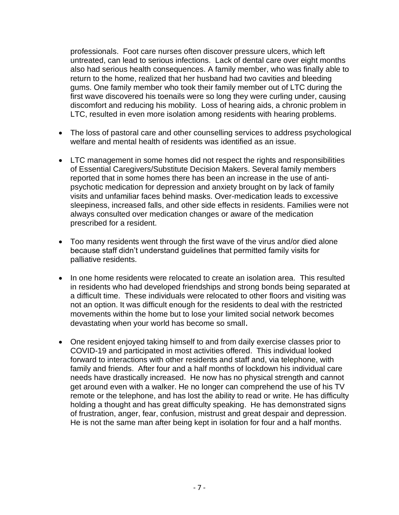professionals. Foot care nurses often discover pressure ulcers, which left untreated, can lead to serious infections. Lack of dental care over eight months also had serious health consequences. A family member, who was finally able to return to the home, realized that her husband had two cavities and bleeding gums. One family member who took their family member out of LTC during the first wave discovered his toenails were so long they were curling under, causing discomfort and reducing his mobility. Loss of hearing aids, a chronic problem in LTC, resulted in even more isolation among residents with hearing problems.

- The loss of pastoral care and other counselling services to address psychological welfare and mental health of residents was identified as an issue.
- LTC management in some homes did not respect the rights and responsibilities of Essential Caregivers/Substitute Decision Makers. Several family members reported that in some homes there has been an increase in the use of antipsychotic medication for depression and anxiety brought on by lack of family visits and unfamiliar faces behind masks. Over-medication leads to excessive sleepiness, increased falls, and other side effects in residents. Families were not always consulted over medication changes or aware of the medication prescribed for a resident.
- Too many residents went through the first wave of the virus and/or died alone because staff didn't understand guidelines that permitted family visits for palliative residents.
- In one home residents were relocated to create an isolation area. This resulted in residents who had developed friendships and strong bonds being separated at a difficult time. These individuals were relocated to other floors and visiting was not an option. It was difficult enough for the residents to deal with the restricted movements within the home but to lose your limited social network becomes devastating when your world has become so small.
- One resident enjoyed taking himself to and from daily exercise classes prior to COVID-19 and participated in most activities offered. This individual looked forward to interactions with other residents and staff and, via telephone, with family and friends. After four and a half months of lockdown his individual care needs have drastically increased. He now has no physical strength and cannot get around even with a walker. He no longer can comprehend the use of his TV remote or the telephone, and has lost the ability to read or write. He has difficulty holding a thought and has great difficulty speaking. He has demonstrated signs of frustration, anger, fear, confusion, mistrust and great despair and depression. He is not the same man after being kept in isolation for four and a half months.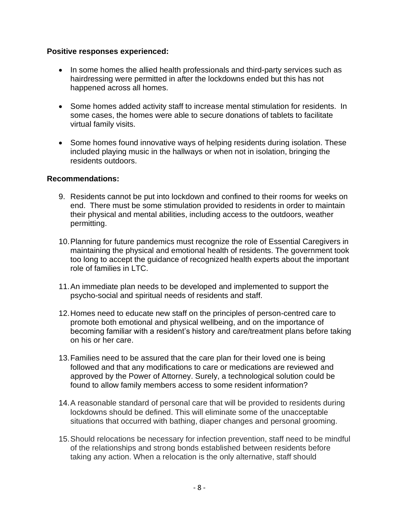#### **Positive responses experienced:**

- In some homes the allied health professionals and third-party services such as hairdressing were permitted in after the lockdowns ended but this has not happened across all homes.
- Some homes added activity staff to increase mental stimulation for residents. In some cases, the homes were able to secure donations of tablets to facilitate virtual family visits.
- Some homes found innovative ways of helping residents during isolation. These included playing music in the hallways or when not in isolation, bringing the residents outdoors.

- 9. Residents cannot be put into lockdown and confined to their rooms for weeks on end. There must be some stimulation provided to residents in order to maintain their physical and mental abilities, including access to the outdoors, weather permitting.
- 10.Planning for future pandemics must recognize the role of Essential Caregivers in maintaining the physical and emotional health of residents. The government took too long to accept the guidance of recognized health experts about the important role of families in LTC.
- 11.An immediate plan needs to be developed and implemented to support the psycho-social and spiritual needs of residents and staff.
- 12.Homes need to educate new staff on the principles of person-centred care to promote both emotional and physical wellbeing, and on the importance of becoming familiar with a resident's history and care/treatment plans before taking on his or her care.
- 13.Families need to be assured that the care plan for their loved one is being followed and that any modifications to care or medications are reviewed and approved by the Power of Attorney. Surely, a technological solution could be found to allow family members access to some resident information?
- 14.A reasonable standard of personal care that will be provided to residents during lockdowns should be defined. This will eliminate some of the unacceptable situations that occurred with bathing, diaper changes and personal grooming.
- 15.Should relocations be necessary for infection prevention, staff need to be mindful of the relationships and strong bonds established between residents before taking any action. When a relocation is the only alternative, staff should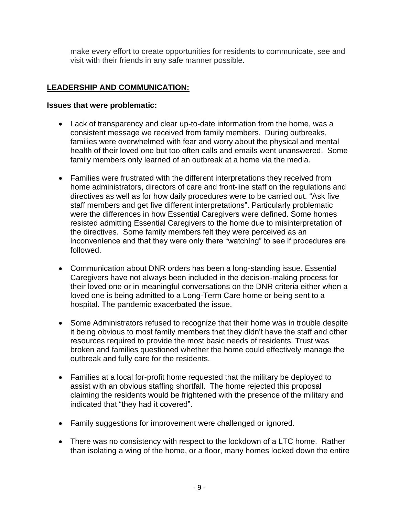make every effort to create opportunities for residents to communicate, see and visit with their friends in any safe manner possible.

## **LEADERSHIP AND COMMUNICATION:**

#### **Issues that were problematic:**

- Lack of transparency and clear up-to-date information from the home, was a consistent message we received from family members. During outbreaks, families were overwhelmed with fear and worry about the physical and mental health of their loved one but too often calls and emails went unanswered. Some family members only learned of an outbreak at a home via the media.
- Families were frustrated with the different interpretations they received from home administrators, directors of care and front-line staff on the regulations and directives as well as for how daily procedures were to be carried out. "Ask five staff members and get five different interpretations". Particularly problematic were the differences in how Essential Caregivers were defined. Some homes resisted admitting Essential Caregivers to the home due to misinterpretation of the directives. Some family members felt they were perceived as an inconvenience and that they were only there "watching" to see if procedures are followed.
- Communication about DNR orders has been a long-standing issue. Essential Caregivers have not always been included in the decision-making process for their loved one or in meaningful conversations on the DNR criteria either when a loved one is being admitted to a Long-Term Care home or being sent to a hospital. The pandemic exacerbated the issue.
- Some Administrators refused to recognize that their home was in trouble despite it being obvious to most family members that they didn't have the staff and other resources required to provide the most basic needs of residents. Trust was broken and families questioned whether the home could effectively manage the outbreak and fully care for the residents.
- Families at a local for-profit home requested that the military be deployed to assist with an obvious staffing shortfall. The home rejected this proposal claiming the residents would be frightened with the presence of the military and indicated that "they had it covered".
- Family suggestions for improvement were challenged or ignored.
- There was no consistency with respect to the lockdown of a LTC home. Rather than isolating a wing of the home, or a floor, many homes locked down the entire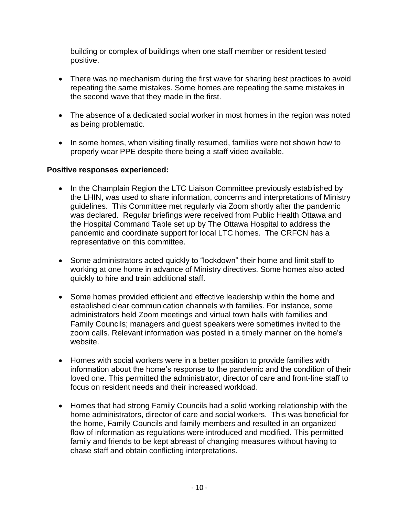building or complex of buildings when one staff member or resident tested positive.

- There was no mechanism during the first wave for sharing best practices to avoid repeating the same mistakes. Some homes are repeating the same mistakes in the second wave that they made in the first.
- The absence of a dedicated social worker in most homes in the region was noted as being problematic.
- In some homes, when visiting finally resumed, families were not shown how to properly wear PPE despite there being a staff video available.

## **Positive responses experienced:**

- In the Champlain Region the LTC Liaison Committee previously established by the LHIN, was used to share information, concerns and interpretations of Ministry guidelines. This Committee met regularly via Zoom shortly after the pandemic was declared. Regular briefings were received from Public Health Ottawa and the Hospital Command Table set up by The Ottawa Hospital to address the pandemic and coordinate support for local LTC homes. The CRFCN has a representative on this committee.
- Some administrators acted quickly to "lockdown" their home and limit staff to working at one home in advance of Ministry directives. Some homes also acted quickly to hire and train additional staff.
- Some homes provided efficient and effective leadership within the home and established clear communication channels with families. For instance, some administrators held Zoom meetings and virtual town halls with families and Family Councils; managers and guest speakers were sometimes invited to the zoom calls. Relevant information was posted in a timely manner on the home's website.
- Homes with social workers were in a better position to provide families with information about the home's response to the pandemic and the condition of their loved one. This permitted the administrator, director of care and front-line staff to focus on resident needs and their increased workload.
- Homes that had strong Family Councils had a solid working relationship with the home administrators, director of care and social workers. This was beneficial for the home, Family Councils and family members and resulted in an organized flow of information as regulations were introduced and modified. This permitted family and friends to be kept abreast of changing measures without having to chase staff and obtain conflicting interpretations.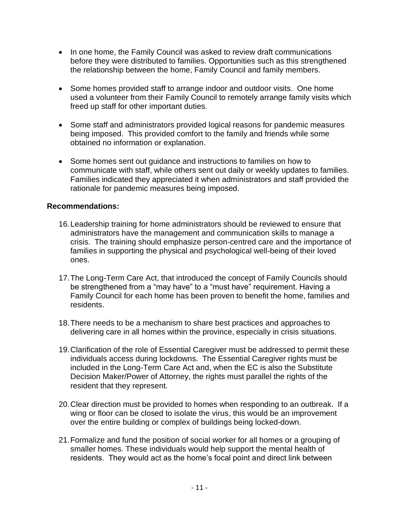- In one home, the Family Council was asked to review draft communications before they were distributed to families. Opportunities such as this strengthened the relationship between the home, Family Council and family members.
- Some homes provided staff to arrange indoor and outdoor visits. One home used a volunteer from their Family Council to remotely arrange family visits which freed up staff for other important duties.
- Some staff and administrators provided logical reasons for pandemic measures being imposed. This provided comfort to the family and friends while some obtained no information or explanation.
- Some homes sent out guidance and instructions to families on how to communicate with staff, while others sent out daily or weekly updates to families. Families indicated they appreciated it when administrators and staff provided the rationale for pandemic measures being imposed.

- 16.Leadership training for home administrators should be reviewed to ensure that administrators have the management and communication skills to manage a crisis. The training should emphasize person-centred care and the importance of families in supporting the physical and psychological well-being of their loved ones.
- 17.The Long-Term Care Act, that introduced the concept of Family Councils should be strengthened from a "may have" to a "must have" requirement. Having a Family Council for each home has been proven to benefit the home, families and residents.
- 18.There needs to be a mechanism to share best practices and approaches to delivering care in all homes within the province, especially in crisis situations.
- 19.Clarification of the role of Essential Caregiver must be addressed to permit these individuals access during lockdowns. The Essential Caregiver rights must be included in the Long-Term Care Act and, when the EC is also the Substitute Decision Maker/Power of Attorney, the rights must parallel the rights of the resident that they represent.
- 20.Clear direction must be provided to homes when responding to an outbreak. If a wing or floor can be closed to isolate the virus, this would be an improvement over the entire building or complex of buildings being locked-down.
- 21.Formalize and fund the position of social worker for all homes or a grouping of smaller homes. These individuals would help support the mental health of residents. They would act as the home's focal point and direct link between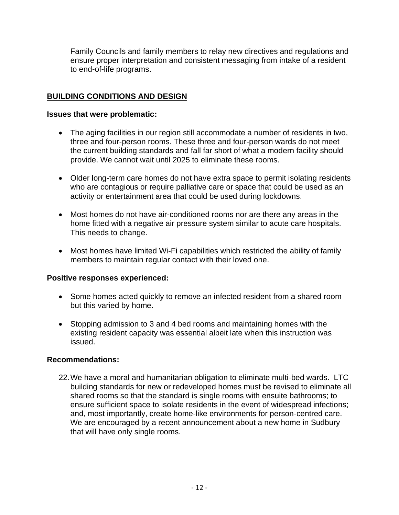Family Councils and family members to relay new directives and regulations and ensure proper interpretation and consistent messaging from intake of a resident to end-of-life programs.

### **BUILDING CONDITIONS AND DESIGN**

#### **Issues that were problematic:**

- The aging facilities in our region still accommodate a number of residents in two, three and four-person rooms. These three and four-person wards do not meet the current building standards and fall far short of what a modern facility should provide. We cannot wait until 2025 to eliminate these rooms.
- Older long-term care homes do not have extra space to permit isolating residents who are contagious or require palliative care or space that could be used as an activity or entertainment area that could be used during lockdowns.
- Most homes do not have air-conditioned rooms nor are there any areas in the home fitted with a negative air pressure system similar to acute care hospitals. This needs to change.
- Most homes have limited Wi-Fi capabilities which restricted the ability of family members to maintain regular contact with their loved one.

#### **Positive responses experienced:**

- Some homes acted quickly to remove an infected resident from a shared room but this varied by home.
- Stopping admission to 3 and 4 bed rooms and maintaining homes with the existing resident capacity was essential albeit late when this instruction was issued.

#### **Recommendations:**

22.We have a moral and humanitarian obligation to eliminate multi-bed wards. LTC building standards for new or redeveloped homes must be revised to eliminate all shared rooms so that the standard is single rooms with ensuite bathrooms; to ensure sufficient space to isolate residents in the event of widespread infections; and, most importantly, create home-like environments for person-centred care. We are encouraged by a recent announcement about a new home in Sudbury that will have only single rooms.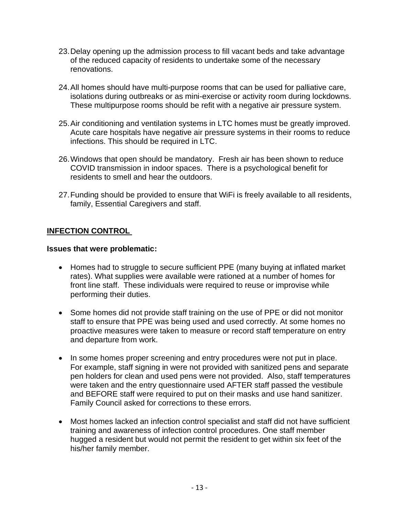- 23.Delay opening up the admission process to fill vacant beds and take advantage of the reduced capacity of residents to undertake some of the necessary renovations.
- 24.All homes should have multi-purpose rooms that can be used for palliative care, isolations during outbreaks or as mini-exercise or activity room during lockdowns. These multipurpose rooms should be refit with a negative air pressure system.
- 25.Air conditioning and ventilation systems in LTC homes must be greatly improved. Acute care hospitals have negative air pressure systems in their rooms to reduce infections. This should be required in LTC.
- 26.Windows that open should be mandatory. Fresh air has been shown to reduce COVID transmission in indoor spaces. There is a psychological benefit for residents to smell and hear the outdoors.
- 27.Funding should be provided to ensure that WiFi is freely available to all residents, family, Essential Caregivers and staff.

## **INFECTION CONTROL**

#### **Issues that were problematic:**

- Homes had to struggle to secure sufficient PPE (many buying at inflated market rates). What supplies were available were rationed at a number of homes for front line staff. These individuals were required to reuse or improvise while performing their duties.
- Some homes did not provide staff training on the use of PPE or did not monitor staff to ensure that PPE was being used and used correctly. At some homes no proactive measures were taken to measure or record staff temperature on entry and departure from work.
- In some homes proper screening and entry procedures were not put in place. For example, staff signing in were not provided with sanitized pens and separate pen holders for clean and used pens were not provided. Also, staff temperatures were taken and the entry questionnaire used AFTER staff passed the vestibule and BEFORE staff were required to put on their masks and use hand sanitizer. Family Council asked for corrections to these errors.
- Most homes lacked an infection control specialist and staff did not have sufficient training and awareness of infection control procedures. One staff member hugged a resident but would not permit the resident to get within six feet of the his/her family member.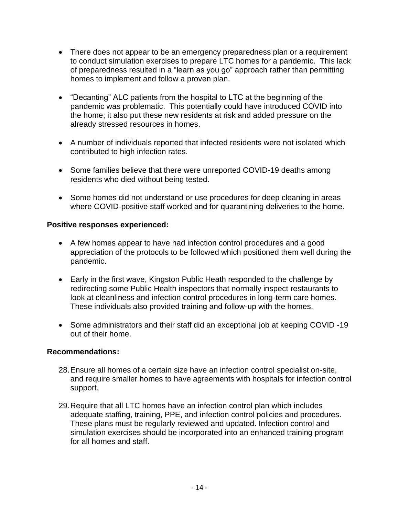- There does not appear to be an emergency preparedness plan or a requirement to conduct simulation exercises to prepare LTC homes for a pandemic. This lack of preparedness resulted in a "learn as you go" approach rather than permitting homes to implement and follow a proven plan.
- "Decanting" ALC patients from the hospital to LTC at the beginning of the pandemic was problematic. This potentially could have introduced COVID into the home; it also put these new residents at risk and added pressure on the already stressed resources in homes.
- A number of individuals reported that infected residents were not isolated which contributed to high infection rates.
- Some families believe that there were unreported COVID-19 deaths among residents who died without being tested.
- Some homes did not understand or use procedures for deep cleaning in areas where COVID-positive staff worked and for quarantining deliveries to the home.

#### **Positive responses experienced:**

- A few homes appear to have had infection control procedures and a good appreciation of the protocols to be followed which positioned them well during the pandemic.
- Early in the first wave, Kingston Public Heath responded to the challenge by redirecting some Public Health inspectors that normally inspect restaurants to look at cleanliness and infection control procedures in long-term care homes. These individuals also provided training and follow-up with the homes.
- Some administrators and their staff did an exceptional job at keeping COVID -19 out of their home.

- 28.Ensure all homes of a certain size have an infection control specialist on-site, and require smaller homes to have agreements with hospitals for infection control support.
- 29.Require that all LTC homes have an infection control plan which includes adequate staffing, training, PPE, and infection control policies and procedures. These plans must be regularly reviewed and updated. Infection control and simulation exercises should be incorporated into an enhanced training program for all homes and staff.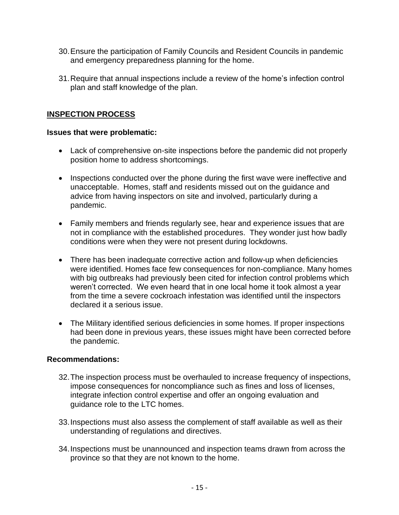- 30.Ensure the participation of Family Councils and Resident Councils in pandemic and emergency preparedness planning for the home.
- 31.Require that annual inspections include a review of the home's infection control plan and staff knowledge of the plan.

### **INSPECTION PROCESS**

#### **Issues that were problematic:**

- Lack of comprehensive on-site inspections before the pandemic did not properly position home to address shortcomings.
- Inspections conducted over the phone during the first wave were ineffective and unacceptable. Homes, staff and residents missed out on the guidance and advice from having inspectors on site and involved, particularly during a pandemic.
- Family members and friends regularly see, hear and experience issues that are not in compliance with the established procedures. They wonder just how badly conditions were when they were not present during lockdowns.
- There has been inadequate corrective action and follow-up when deficiencies were identified. Homes face few consequences for non-compliance. Many homes with big outbreaks had previously been cited for infection control problems which weren't corrected. We even heard that in one local home it took almost a year from the time a severe cockroach infestation was identified until the inspectors declared it a serious issue.
- The Military identified serious deficiencies in some homes. If proper inspections had been done in previous years, these issues might have been corrected before the pandemic.

- 32.The inspection process must be overhauled to increase frequency of inspections, impose consequences for noncompliance such as fines and loss of licenses, integrate infection control expertise and offer an ongoing evaluation and guidance role to the LTC homes.
- 33.Inspections must also assess the complement of staff available as well as their understanding of regulations and directives.
- 34.Inspections must be unannounced and inspection teams drawn from across the province so that they are not known to the home.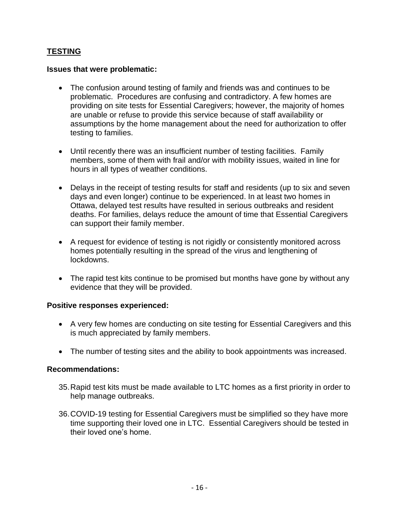## **TESTING**

#### **Issues that were problematic:**

- The confusion around testing of family and friends was and continues to be problematic. Procedures are confusing and contradictory. A few homes are providing on site tests for Essential Caregivers; however, the majority of homes are unable or refuse to provide this service because of staff availability or assumptions by the home management about the need for authorization to offer testing to families.
- Until recently there was an insufficient number of testing facilities. Family members, some of them with frail and/or with mobility issues, waited in line for hours in all types of weather conditions.
- Delays in the receipt of testing results for staff and residents (up to six and seven days and even longer) continue to be experienced. In at least two homes in Ottawa, delayed test results have resulted in serious outbreaks and resident deaths. For families, delays reduce the amount of time that Essential Caregivers can support their family member.
- A request for evidence of testing is not rigidly or consistently monitored across homes potentially resulting in the spread of the virus and lengthening of lockdowns.
- The rapid test kits continue to be promised but months have gone by without any evidence that they will be provided.

#### **Positive responses experienced:**

- A very few homes are conducting on site testing for Essential Caregivers and this is much appreciated by family members.
- The number of testing sites and the ability to book appointments was increased.

- 35.Rapid test kits must be made available to LTC homes as a first priority in order to help manage outbreaks.
- 36.COVID-19 testing for Essential Caregivers must be simplified so they have more time supporting their loved one in LTC. Essential Caregivers should be tested in their loved one's home.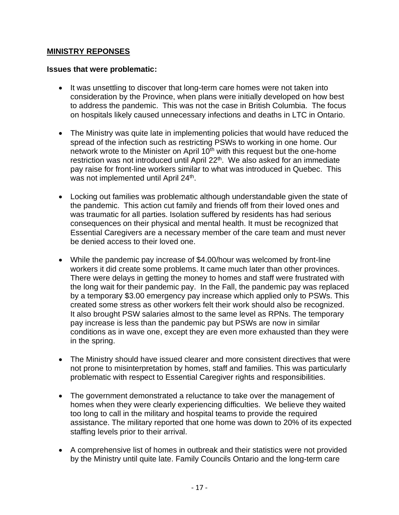#### **MINISTRY REPONSES**

#### **Issues that were problematic:**

- It was unsettling to discover that long-term care homes were not taken into consideration by the Province, when plans were initially developed on how best to address the pandemic. This was not the case in British Columbia. The focus on hospitals likely caused unnecessary infections and deaths in LTC in Ontario.
- The Ministry was quite late in implementing policies that would have reduced the spread of the infection such as restricting PSWs to working in one home. Our network wrote to the Minister on April  $10<sup>th</sup>$  with this request but the one-home restriction was not introduced until April  $22<sup>th</sup>$ . We also asked for an immediate pay raise for front-line workers similar to what was introduced in Quebec. This was not implemented until April 24<sup>th</sup>.
- Locking out families was problematic although understandable given the state of the pandemic. This action cut family and friends off from their loved ones and was traumatic for all parties. Isolation suffered by residents has had serious consequences on their physical and mental health. It must be recognized that Essential Caregivers are a necessary member of the care team and must never be denied access to their loved one.
- While the pandemic pay increase of \$4.00/hour was welcomed by front-line workers it did create some problems. It came much later than other provinces. There were delays in getting the money to homes and staff were frustrated with the long wait for their pandemic pay. In the Fall, the pandemic pay was replaced by a temporary \$3.00 emergency pay increase which applied only to PSWs. This created some stress as other workers felt their work should also be recognized. It also brought PSW salaries almost to the same level as RPNs. The temporary pay increase is less than the pandemic pay but PSWs are now in similar conditions as in wave one, except they are even more exhausted than they were in the spring.
- The Ministry should have issued clearer and more consistent directives that were not prone to misinterpretation by homes, staff and families. This was particularly problematic with respect to Essential Caregiver rights and responsibilities.
- The government demonstrated a reluctance to take over the management of homes when they were clearly experiencing difficulties. We believe they waited too long to call in the military and hospital teams to provide the required assistance. The military reported that one home was down to 20% of its expected staffing levels prior to their arrival.
- A comprehensive list of homes in outbreak and their statistics were not provided by the Ministry until quite late. Family Councils Ontario and the long-term care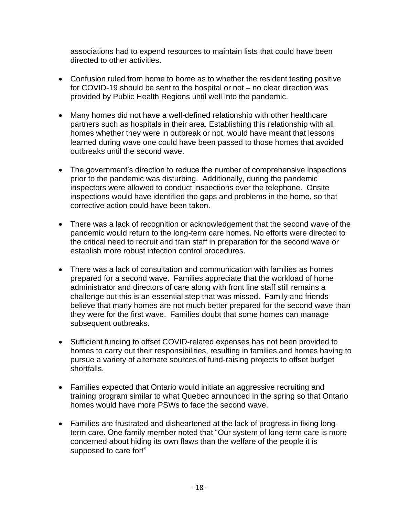associations had to expend resources to maintain lists that could have been directed to other activities.

- Confusion ruled from home to home as to whether the resident testing positive for COVID-19 should be sent to the hospital or not – no clear direction was provided by Public Health Regions until well into the pandemic.
- Many homes did not have a well-defined relationship with other healthcare partners such as hospitals in their area. Establishing this relationship with all homes whether they were in outbreak or not, would have meant that lessons learned during wave one could have been passed to those homes that avoided outbreaks until the second wave.
- The government's direction to reduce the number of comprehensive inspections prior to the pandemic was disturbing. Additionally, during the pandemic inspectors were allowed to conduct inspections over the telephone. Onsite inspections would have identified the gaps and problems in the home, so that corrective action could have been taken.
- There was a lack of recognition or acknowledgement that the second wave of the pandemic would return to the long-term care homes. No efforts were directed to the critical need to recruit and train staff in preparation for the second wave or establish more robust infection control procedures.
- There was a lack of consultation and communication with families as homes prepared for a second wave. Families appreciate that the workload of home administrator and directors of care along with front line staff still remains a challenge but this is an essential step that was missed. Family and friends believe that many homes are not much better prepared for the second wave than they were for the first wave. Families doubt that some homes can manage subsequent outbreaks.
- Sufficient funding to offset COVID-related expenses has not been provided to homes to carry out their responsibilities, resulting in families and homes having to pursue a variety of alternate sources of fund-raising projects to offset budget shortfalls.
- Families expected that Ontario would initiate an aggressive recruiting and training program similar to what Quebec announced in the spring so that Ontario homes would have more PSWs to face the second wave.
- Families are frustrated and disheartened at the lack of progress in fixing longterm care. One family member noted that "Our system of long-term care is more concerned about hiding its own flaws than the welfare of the people it is supposed to care for!"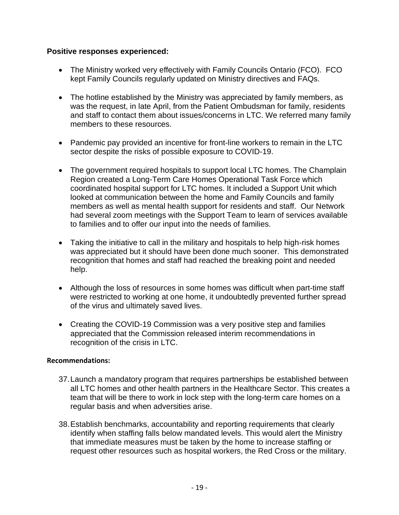#### **Positive responses experienced:**

- The Ministry worked very effectively with Family Councils Ontario (FCO). FCO kept Family Councils regularly updated on Ministry directives and FAQs.
- The hotline established by the Ministry was appreciated by family members, as was the request, in late April, from the Patient Ombudsman for family, residents and staff to contact them about issues/concerns in LTC. We referred many family members to these resources.
- Pandemic pay provided an incentive for front-line workers to remain in the LTC sector despite the risks of possible exposure to COVID-19.
- The government required hospitals to support local LTC homes. The Champlain Region created a Long-Term Care Homes Operational Task Force which coordinated hospital support for LTC homes. It included a Support Unit which looked at communication between the home and Family Councils and family members as well as mental health support for residents and staff. Our Network had several zoom meetings with the Support Team to learn of services available to families and to offer our input into the needs of families.
- Taking the initiative to call in the military and hospitals to help high-risk homes was appreciated but it should have been done much sooner. This demonstrated recognition that homes and staff had reached the breaking point and needed help.
- Although the loss of resources in some homes was difficult when part-time staff were restricted to working at one home, it undoubtedly prevented further spread of the virus and ultimately saved lives.
- Creating the COVID-19 Commission was a very positive step and families appreciated that the Commission released interim recommendations in recognition of the crisis in LTC.

- 37.Launch a mandatory program that requires partnerships be established between all LTC homes and other health partners in the Healthcare Sector. This creates a team that will be there to work in lock step with the long-term care homes on a regular basis and when adversities arise.
- 38.Establish benchmarks, accountability and reporting requirements that clearly identify when staffing falls below mandated levels. This would alert the Ministry that immediate measures must be taken by the home to increase staffing or request other resources such as hospital workers, the Red Cross or the military.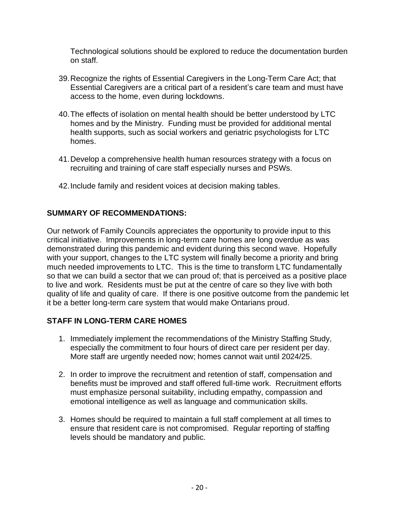Technological solutions should be explored to reduce the documentation burden on staff.

- 39.Recognize the rights of Essential Caregivers in the Long-Term Care Act; that Essential Caregivers are a critical part of a resident's care team and must have access to the home, even during lockdowns.
- 40.The effects of isolation on mental health should be better understood by LTC homes and by the Ministry. Funding must be provided for additional mental health supports, such as social workers and geriatric psychologists for LTC homes.
- 41.Develop a comprehensive health human resources strategy with a focus on recruiting and training of care staff especially nurses and PSWs.
- 42.Include family and resident voices at decision making tables.

#### **SUMMARY OF RECOMMENDATIONS:**

Our network of Family Councils appreciates the opportunity to provide input to this critical initiative. Improvements in long-term care homes are long overdue as was demonstrated during this pandemic and evident during this second wave. Hopefully with your support, changes to the LTC system will finally become a priority and bring much needed improvements to LTC. This is the time to transform LTC fundamentally so that we can build a sector that we can proud of; that is perceived as a positive place to live and work. Residents must be put at the centre of care so they live with both quality of life and quality of care. If there is one positive outcome from the pandemic let it be a better long-term care system that would make Ontarians proud.

#### **STAFF IN LONG-TERM CARE HOMES**

- 1. Immediately implement the recommendations of the Ministry Staffing Study, especially the commitment to four hours of direct care per resident per day. More staff are urgently needed now; homes cannot wait until 2024/25.
- 2. In order to improve the recruitment and retention of staff, compensation and benefits must be improved and staff offered full-time work. Recruitment efforts must emphasize personal suitability, including empathy, compassion and emotional intelligence as well as language and communication skills.
- 3. Homes should be required to maintain a full staff complement at all times to ensure that resident care is not compromised. Regular reporting of staffing levels should be mandatory and public.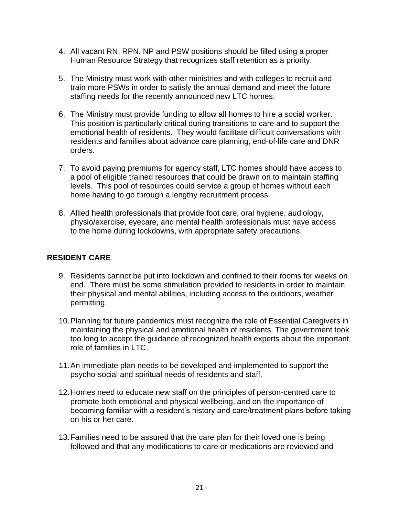- 4. All vacant RN, RPN, NP and PSW positions should be filled using a proper Human Resource Strategy that recognizes staff retention as a priority.
- 5. The Ministry must work with other ministries and with colleges to recruit and train more PSWs in order to satisfy the annual demand and meet the future staffing needs for the recently announced new LTC homes.
- 6. The Ministry must provide funding to allow all homes to hire a social worker. This position is particularly critical during transitions to care and to support the emotional health of residents. They would facilitate difficult conversations with residents and families about advance care planning, end-of-life care and DNR orders.
- 7. To avoid paying premiums for agency staff, LTC homes should have access to a pool of eligible trained resources that could be drawn on to maintain staffing levels. This pool of resources could service a group of homes without each home having to go through a lengthy recruitment process.
- 8. Allied health professionals that provide foot care, oral hygiene, audiology, physio/exercise, eyecare, and mental health professionals must have access to the home during lockdowns, with appropriate safety precautions.

### **RESIDENT CARE**

- 9. Residents cannot be put into lockdown and confined to their rooms for weeks on end. There must be some stimulation provided to residents in order to maintain their physical and mental abilities, including access to the outdoors, weather permitting.
- 10.Planning for future pandemics must recognize the role of Essential Caregivers in maintaining the physical and emotional health of residents. The government took too long to accept the guidance of recognized health experts about the important role of families in LTC.
- 11.An immediate plan needs to be developed and implemented to support the psycho-social and spiritual needs of residents and staff.
- 12.Homes need to educate new staff on the principles of person-centred care to promote both emotional and physical wellbeing, and on the importance of becoming familiar with a resident's history and care/treatment plans before taking on his or her care.
- 13.Families need to be assured that the care plan for their loved one is being followed and that any modifications to care or medications are reviewed and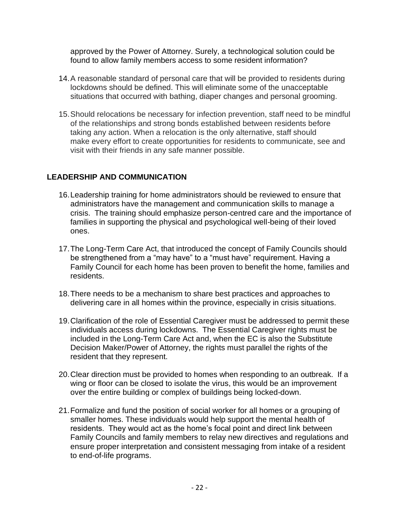approved by the Power of Attorney. Surely, a technological solution could be found to allow family members access to some resident information?

- 14.A reasonable standard of personal care that will be provided to residents during lockdowns should be defined. This will eliminate some of the unacceptable situations that occurred with bathing, diaper changes and personal grooming.
- 15.Should relocations be necessary for infection prevention, staff need to be mindful of the relationships and strong bonds established between residents before taking any action. When a relocation is the only alternative, staff should make every effort to create opportunities for residents to communicate, see and visit with their friends in any safe manner possible.

#### **LEADERSHIP AND COMMUNICATION**

- 16.Leadership training for home administrators should be reviewed to ensure that administrators have the management and communication skills to manage a crisis. The training should emphasize person-centred care and the importance of families in supporting the physical and psychological well-being of their loved ones.
- 17.The Long-Term Care Act, that introduced the concept of Family Councils should be strengthened from a "may have" to a "must have" requirement. Having a Family Council for each home has been proven to benefit the home, families and residents.
- 18.There needs to be a mechanism to share best practices and approaches to delivering care in all homes within the province, especially in crisis situations.
- 19.Clarification of the role of Essential Caregiver must be addressed to permit these individuals access during lockdowns. The Essential Caregiver rights must be included in the Long-Term Care Act and, when the EC is also the Substitute Decision Maker/Power of Attorney, the rights must parallel the rights of the resident that they represent.
- 20.Clear direction must be provided to homes when responding to an outbreak. If a wing or floor can be closed to isolate the virus, this would be an improvement over the entire building or complex of buildings being locked-down.
- 21.Formalize and fund the position of social worker for all homes or a grouping of smaller homes. These individuals would help support the mental health of residents. They would act as the home's focal point and direct link between Family Councils and family members to relay new directives and regulations and ensure proper interpretation and consistent messaging from intake of a resident to end-of-life programs.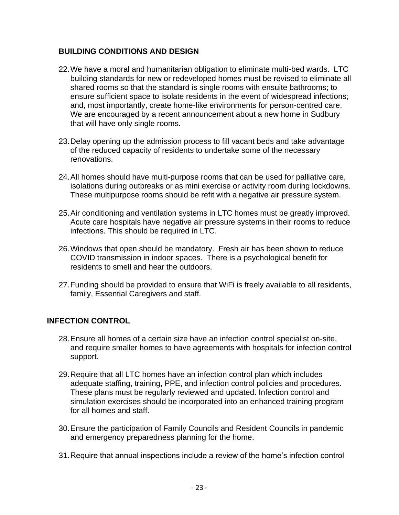## **BUILDING CONDITIONS AND DESIGN**

- 22.We have a moral and humanitarian obligation to eliminate multi-bed wards. LTC building standards for new or redeveloped homes must be revised to eliminate all shared rooms so that the standard is single rooms with ensuite bathrooms; to ensure sufficient space to isolate residents in the event of widespread infections; and, most importantly, create home-like environments for person-centred care. We are encouraged by a recent announcement about a new home in Sudbury that will have only single rooms.
- 23.Delay opening up the admission process to fill vacant beds and take advantage of the reduced capacity of residents to undertake some of the necessary renovations.
- 24.All homes should have multi-purpose rooms that can be used for palliative care, isolations during outbreaks or as mini exercise or activity room during lockdowns. These multipurpose rooms should be refit with a negative air pressure system.
- 25.Air conditioning and ventilation systems in LTC homes must be greatly improved. Acute care hospitals have negative air pressure systems in their rooms to reduce infections. This should be required in LTC.
- 26.Windows that open should be mandatory. Fresh air has been shown to reduce COVID transmission in indoor spaces. There is a psychological benefit for residents to smell and hear the outdoors.
- 27.Funding should be provided to ensure that WiFi is freely available to all residents, family, Essential Caregivers and staff.

#### **INFECTION CONTROL**

- 28.Ensure all homes of a certain size have an infection control specialist on-site, and require smaller homes to have agreements with hospitals for infection control support.
- 29.Require that all LTC homes have an infection control plan which includes adequate staffing, training, PPE, and infection control policies and procedures. These plans must be regularly reviewed and updated. Infection control and simulation exercises should be incorporated into an enhanced training program for all homes and staff.
- 30.Ensure the participation of Family Councils and Resident Councils in pandemic and emergency preparedness planning for the home.
- 31.Require that annual inspections include a review of the home's infection control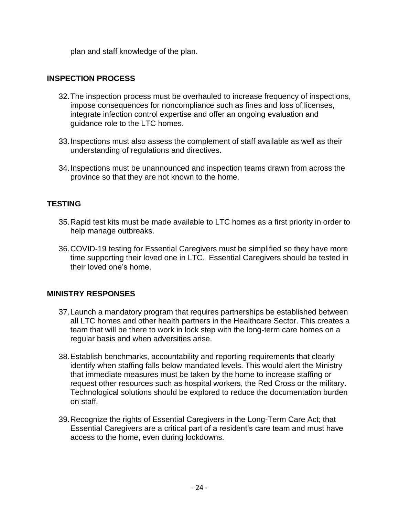plan and staff knowledge of the plan.

### **INSPECTION PROCESS**

- 32.The inspection process must be overhauled to increase frequency of inspections, impose consequences for noncompliance such as fines and loss of licenses, integrate infection control expertise and offer an ongoing evaluation and guidance role to the LTC homes.
- 33.Inspections must also assess the complement of staff available as well as their understanding of regulations and directives.
- 34.Inspections must be unannounced and inspection teams drawn from across the province so that they are not known to the home.

## **TESTING**

- 35.Rapid test kits must be made available to LTC homes as a first priority in order to help manage outbreaks.
- 36.COVID-19 testing for Essential Caregivers must be simplified so they have more time supporting their loved one in LTC. Essential Caregivers should be tested in their loved one's home.

#### **MINISTRY RESPONSES**

- 37.Launch a mandatory program that requires partnerships be established between all LTC homes and other health partners in the Healthcare Sector. This creates a team that will be there to work in lock step with the long-term care homes on a regular basis and when adversities arise.
- 38.Establish benchmarks, accountability and reporting requirements that clearly identify when staffing falls below mandated levels. This would alert the Ministry that immediate measures must be taken by the home to increase staffing or request other resources such as hospital workers, the Red Cross or the military. Technological solutions should be explored to reduce the documentation burden on staff.
- 39.Recognize the rights of Essential Caregivers in the Long-Term Care Act; that Essential Caregivers are a critical part of a resident's care team and must have access to the home, even during lockdowns.